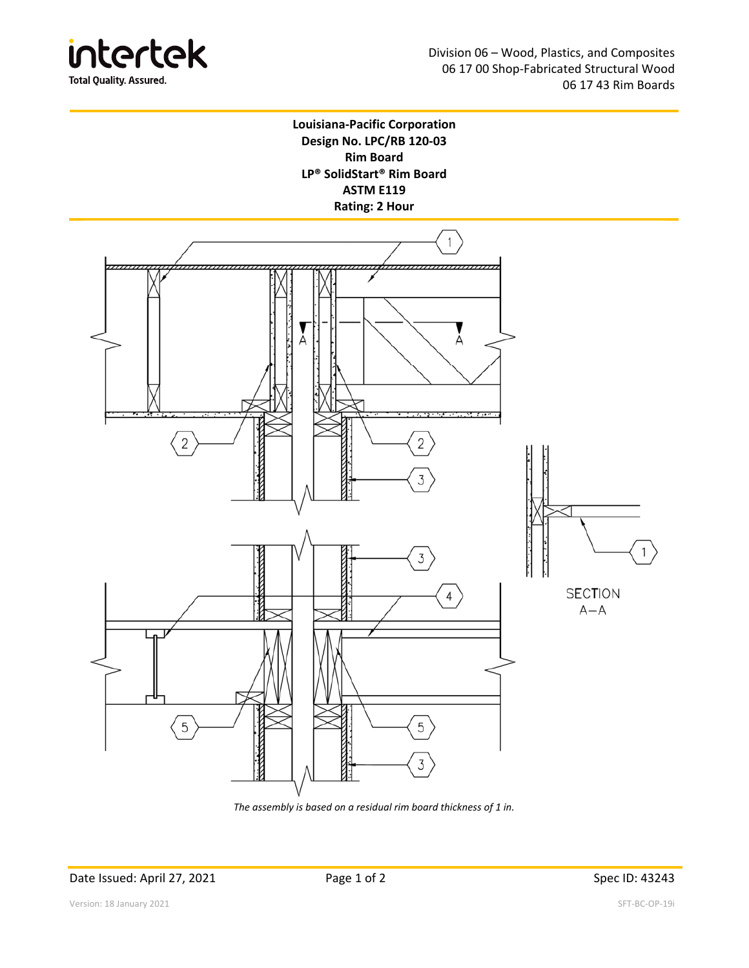

## **Louisiana‐Pacific Corporation Design No. LPC/RB 120‐03 Rim Board LP® SolidStart® Rim Board ASTM E119 Rating: 2 Hour**



*The assembly is based on a residual rim board thickness of 1 in.*